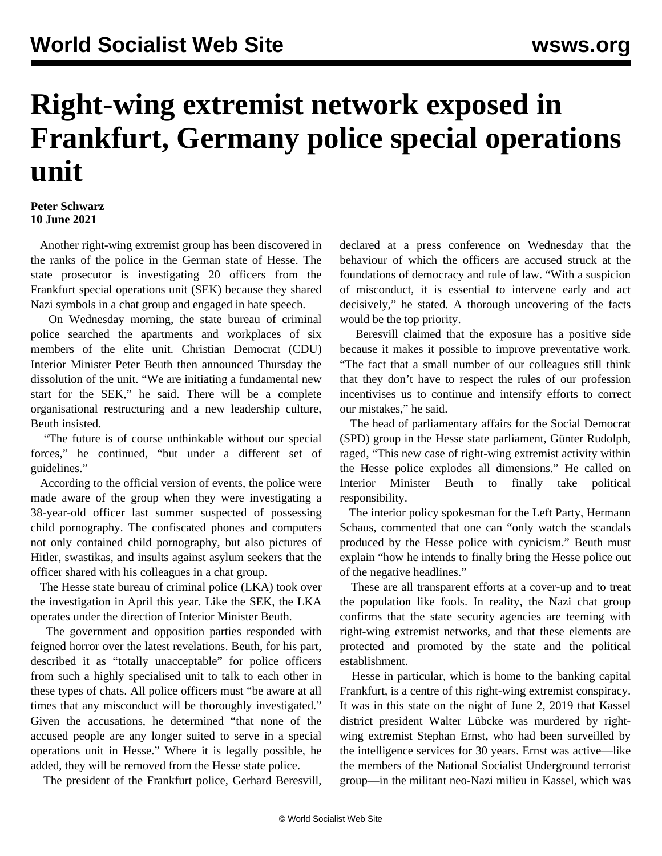## **Right-wing extremist network exposed in Frankfurt, Germany police special operations unit**

## **Peter Schwarz 10 June 2021**

 Another right-wing extremist group has been discovered in the ranks of the police in the German state of Hesse. The state prosecutor is investigating 20 officers from the Frankfurt special operations unit (SEK) because they shared Nazi symbols in a chat group and engaged in hate speech.

 On Wednesday morning, the state bureau of criminal police searched the apartments and workplaces of six members of the elite unit. Christian Democrat (CDU) Interior Minister Peter Beuth then announced Thursday the dissolution of the unit. "We are initiating a fundamental new start for the SEK," he said. There will be a complete organisational restructuring and a new leadership culture, Beuth insisted.

 "The future is of course unthinkable without our special forces," he continued, "but under a different set of guidelines."

 According to the official version of events, the police were made aware of the group when they were investigating a 38-year-old officer last summer suspected of possessing child pornography. The confiscated phones and computers not only contained child pornography, but also pictures of Hitler, swastikas, and insults against asylum seekers that the officer shared with his colleagues in a chat group.

 The Hesse state bureau of criminal police (LKA) took over the investigation in April this year. Like the SEK, the LKA operates under the direction of Interior Minister Beuth.

 The government and opposition parties responded with feigned horror over the latest revelations. Beuth, for his part, described it as "totally unacceptable" for police officers from such a highly specialised unit to talk to each other in these types of chats. All police officers must "be aware at all times that any misconduct will be thoroughly investigated." Given the accusations, he determined "that none of the accused people are any longer suited to serve in a special operations unit in Hesse." Where it is legally possible, he added, they will be removed from the Hesse state police.

The president of the Frankfurt police, Gerhard Beresvill,

declared at a press conference on Wednesday that the behaviour of which the officers are accused struck at the foundations of democracy and rule of law. "With a suspicion of misconduct, it is essential to intervene early and act decisively," he stated. A thorough uncovering of the facts would be the top priority.

 Beresvill claimed that the exposure has a positive side because it makes it possible to improve preventative work. "The fact that a small number of our colleagues still think that they don't have to respect the rules of our profession incentivises us to continue and intensify efforts to correct our mistakes," he said.

 The head of parliamentary affairs for the Social Democrat (SPD) group in the Hesse state parliament, Günter Rudolph, raged, "This new case of right-wing extremist activity within the Hesse police explodes all dimensions." He called on Interior Minister Beuth to finally take political responsibility.

 The interior policy spokesman for the Left Party, Hermann Schaus, commented that one can "only watch the scandals produced by the Hesse police with cynicism." Beuth must explain "how he intends to finally bring the Hesse police out of the negative headlines."

 These are all transparent efforts at a cover-up and to treat the population like fools. In reality, the Nazi chat group confirms that the state security agencies are teeming with right-wing extremist networks, and that these elements are protected and promoted by the state and the political establishment.

 Hesse in particular, which is home to the banking capital Frankfurt, is a centre of this right-wing extremist conspiracy. It was in this state on the night of June 2, 2019 that Kassel district president Walter Lübcke was murdered by rightwing extremist Stephan Ernst, who had been surveilled by the intelligence services for 30 years. Ernst was active—like the members of the National Socialist Underground terrorist group—in the militant neo-Nazi milieu in Kassel, which was